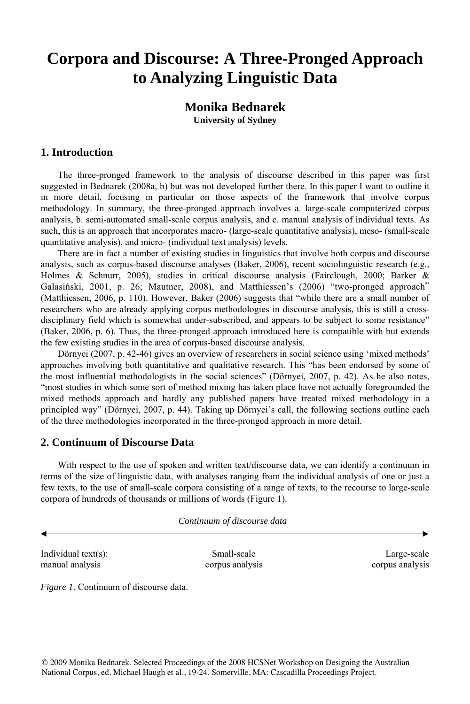## **Corpora and Discourse: A Three-Pronged Approach to Analyzing Linguistic Data**

## **Monika Bednarek University of Sydney**

## **1. Introduction**

The three-pronged framework to the analysis of discourse described in this paper was first suggested in Bednarek (2008a, b) but was not developed further there. In this paper I want to outline it in more detail, focusing in particular on those aspects of the framework that involve corpus methodology. In summary, the three-pronged approach involves a. large-scale computerized corpus analysis, b. semi-automated small-scale corpus analysis, and c. manual analysis of individual texts. As such, this is an approach that incorporates macro- (large-scale quantitative analysis), meso- (small-scale quantitative analysis), and micro- (individual text analysis) levels.

There are in fact a number of existing studies in linguistics that involve both corpus and discourse analysis, such as corpus-based discourse analyses (Baker, 2006), recent sociolinguistic research (e.g., Holmes & Schnurr, 2005), studies in critical discourse analysis (Fairclough, 2000; Barker & Galasiński, 2001, p. 26; Mautner, 2008), and Matthiessen's (2006) "two-pronged approach" (Matthiessen, 2006, p. 110). However, Baker (2006) suggests that "while there are a small number of researchers who are already applying corpus methodologies in discourse analysis, this is still a crossdisciplinary field which is somewhat under-subscribed, and appears to be subject to some resistance" (Baker, 2006, p. 6). Thus, the three-pronged approach introduced here is compatible with but extends the few existing studies in the area of corpus-based discourse analysis.

Dörnyei (2007, p. 42-46) gives an overview of researchers in social science using 'mixed methods' approaches involving both quantitative and qualitative research. This "has been endorsed by some of the most influential methodologists in the social sciences" (Dörnyei, 2007, p. 42). As he also notes, "most studies in which some sort of method mixing has taken place have not actually foregrounded the mixed methods approach and hardly any published papers have treated mixed methodology in a principled way" (Dörnyei, 2007, p. 44). Taking up Dörnyei's call, the following sections outline each of the three methodologies incorporated in the three-pronged approach in more detail.

## **2. Continuum of Discourse Data**

With respect to the use of spoken and written text/discourse data, we can identify a continuum in terms of the size of linguistic data, with analyses ranging from the individual analysis of one or just a few texts, to the use of small-scale corpora consisting of a range of texts, to the recourse to large-scale corpora of hundreds of thousands or millions of words (Figure 1).

 *Continuum of discourse data*

Individual text(s): Small-scale Large-scale Large-scale Large-scale manual analysis corpus analysis corpus analysis

*Figure 1.* Continuum of discourse data.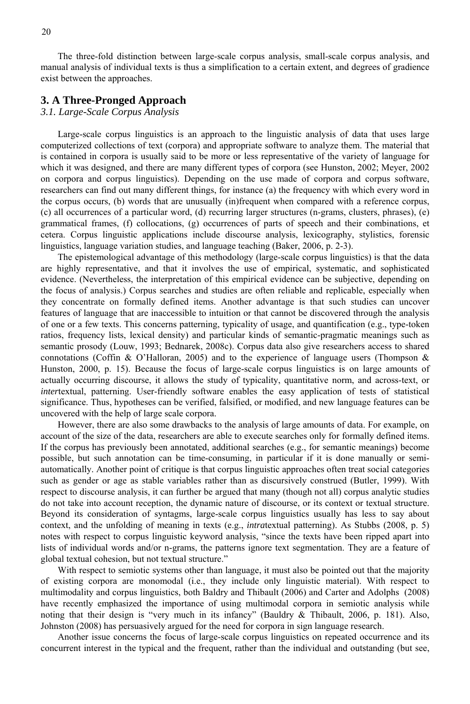The three-fold distinction between large-scale corpus analysis, small-scale corpus analysis, and manual analysis of individual texts is thus a simplification to a certain extent, and degrees of gradience exist between the approaches.

#### **3. A Three-Pronged Approach**

#### *3.1. Large-Scale Corpus Analysis*

Large-scale corpus linguistics is an approach to the linguistic analysis of data that uses large computerized collections of text (corpora) and appropriate software to analyze them. The material that is contained in corpora is usually said to be more or less representative of the variety of language for which it was designed, and there are many different types of corpora (see Hunston, 2002; Meyer, 2002 on corpora and corpus linguistics). Depending on the use made of corpora and corpus software, researchers can find out many different things, for instance (a) the frequency with which every word in the corpus occurs, (b) words that are unusually (in)frequent when compared with a reference corpus, (c) all occurrences of a particular word, (d) recurring larger structures (n-grams, clusters, phrases), (e) grammatical frames, (f) collocations, (g) occurrences of parts of speech and their combinations, et cetera. Corpus linguistic applications include discourse analysis, lexicography, stylistics, forensic linguistics, language variation studies, and language teaching (Baker, 2006, p. 2-3).

The epistemological advantage of this methodology (large-scale corpus linguistics) is that the data are highly representative, and that it involves the use of empirical, systematic, and sophisticated evidence. (Nevertheless, the interpretation of this empirical evidence can be subjective, depending on the focus of analysis.) Corpus searches and studies are often reliable and replicable, especially when they concentrate on formally defined items. Another advantage is that such studies can uncover features of language that are inaccessible to intuition or that cannot be discovered through the analysis of one or a few texts. This concerns patterning, typicality of usage, and quantification (e.g., type-token ratios, frequency lists, lexical density) and particular kinds of semantic-pragmatic meanings such as semantic prosody (Louw, 1993; Bednarek, 2008c). Corpus data also give researchers access to shared connotations (Coffin & O'Halloran, 2005) and to the experience of language users (Thompson & Hunston, 2000, p. 15). Because the focus of large-scale corpus linguistics is on large amounts of actually occurring discourse, it allows the study of typicality, quantitative norm, and across-text, or *inter*textual, patterning. User-friendly software enables the easy application of tests of statistical significance. Thus, hypotheses can be verified, falsified, or modified, and new language features can be uncovered with the help of large scale corpora.

However, there are also some drawbacks to the analysis of large amounts of data. For example, on account of the size of the data, researchers are able to execute searches only for formally defined items. If the corpus has previously been annotated, additional searches (e.g., for semantic meanings) become possible, but such annotation can be time-consuming, in particular if it is done manually or semiautomatically. Another point of critique is that corpus linguistic approaches often treat social categories such as gender or age as stable variables rather than as discursively construed (Butler, 1999). With respect to discourse analysis, it can further be argued that many (though not all) corpus analytic studies do not take into account reception, the dynamic nature of discourse, or its context or textual structure. Beyond its consideration of syntagms, large-scale corpus linguistics usually has less to say about context, and the unfolding of meaning in texts (e.g., *intra*textual patterning). As Stubbs (2008, p. 5) notes with respect to corpus linguistic keyword analysis, "since the texts have been ripped apart into lists of individual words and/or n-grams, the patterns ignore text segmentation. They are a feature of global textual cohesion, but not textual structure."

With respect to semiotic systems other than language, it must also be pointed out that the majority of existing corpora are monomodal (i.e., they include only linguistic material). With respect to multimodality and corpus linguistics, both Baldry and Thibault (2006) and Carter and Adolphs (2008) have recently emphasized the importance of using multimodal corpora in semiotic analysis while noting that their design is "very much in its infancy" (Bauldry & Thibault, 2006, p. 181). Also, Johnston (2008) has persuasively argued for the need for corpora in sign language research.

Another issue concerns the focus of large-scale corpus linguistics on repeated occurrence and its concurrent interest in the typical and the frequent, rather than the individual and outstanding (but see,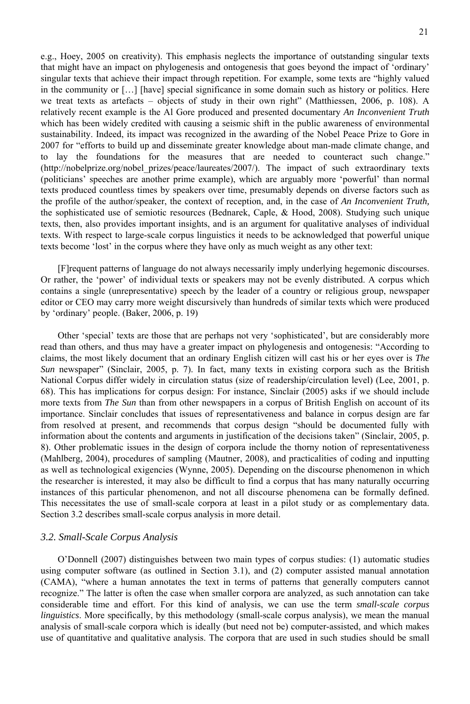e.g., Hoey, 2005 on creativity). This emphasis neglects the importance of outstanding singular texts that might have an impact on phylogenesis and ontogenesis that goes beyond the impact of 'ordinary' singular texts that achieve their impact through repetition. For example, some texts are "highly valued in the community or […] [have] special significance in some domain such as history or politics. Here we treat texts as artefacts – objects of study in their own right" (Matthiessen, 2006, p. 108). A relatively recent example is the Al Gore produced and presented documentary *An Inconvenient Truth* which has been widely credited with causing a seismic shift in the public awareness of environmental sustainability. Indeed, its impact was recognized in the awarding of the Nobel Peace Prize to Gore in 2007 for "efforts to build up and disseminate greater knowledge about man-made climate change, and lay the foundations for the measures that are needed to counteract such change." (http://nobelprize.org/nobel\_prizes/peace/laureates/2007/). The impact of such extraordinary texts (politicians' speeches are another prime example), which are arguably more 'powerful' than normal texts produced countless times by speakers over time, presumably depends on diverse factors such as the profile of the author/speaker, the context of reception, and, in the case of *An Inconvenient Truth,* the sophisticated use of semiotic resources (Bednarek, Caple, & Hood, 2008). Studying such unique texts, then, also provides important insights, and is an argument for qualitative analyses of individual texts. With respect to large-scale corpus linguistics it needs to be acknowledged that powerful unique texts become 'lost' in the corpus where they have only as much weight as any other text:

[F]requent patterns of language do not always necessarily imply underlying hegemonic discourses. Or rather, the 'power' of individual texts or speakers may not be evenly distributed. A corpus which contains a single (unrepresentative) speech by the leader of a country or religious group, newspaper editor or CEO may carry more weight discursively than hundreds of similar texts which were produced by 'ordinary' people. (Baker, 2006, p. 19)

Other 'special' texts are those that are perhaps not very 'sophisticated', but are considerably more read than others, and thus may have a greater impact on phylogenesis and ontogenesis: "According to claims, the most likely document that an ordinary English citizen will cast his or her eyes over is *The Sun* newspaper" (Sinclair, 2005, p. 7). In fact, many texts in existing corpora such as the British National Corpus differ widely in circulation status (size of readership/circulation level) (Lee, 2001, p. 68). This has implications for corpus design: For instance, Sinclair (2005) asks if we should include more texts from *The Sun* than from other newspapers in a corpus of British English on account of its importance. Sinclair concludes that issues of representativeness and balance in corpus design are far from resolved at present, and recommends that corpus design "should be documented fully with information about the contents and arguments in justification of the decisions taken" (Sinclair, 2005, p. 8). Other problematic issues in the design of corpora include the thorny notion of representativeness (Mahlberg, 2004), procedures of sampling (Mautner, 2008), and practicalities of coding and inputting as well as technological exigencies (Wynne, 2005). Depending on the discourse phenomenon in which the researcher is interested, it may also be difficult to find a corpus that has many naturally occurring instances of this particular phenomenon, and not all discourse phenomena can be formally defined. This necessitates the use of small-scale corpora at least in a pilot study or as complementary data. Section 3.2 describes small-scale corpus analysis in more detail.

#### *3.2. Small-Scale Corpus Analysis*

O'Donnell (2007) distinguishes between two main types of corpus studies: (1) automatic studies using computer software (as outlined in Section 3.1), and (2) computer assisted manual annotation (CAMA), "where a human annotates the text in terms of patterns that generally computers cannot recognize." The latter is often the case when smaller corpora are analyzed, as such annotation can take considerable time and effort. For this kind of analysis, we can use the term *small-scale corpus linguistics*. More specifically, by this methodology (small-scale corpus analysis), we mean the manual analysis of small-scale corpora which is ideally (but need not be) computer-assisted, and which makes use of quantitative and qualitative analysis. The corpora that are used in such studies should be small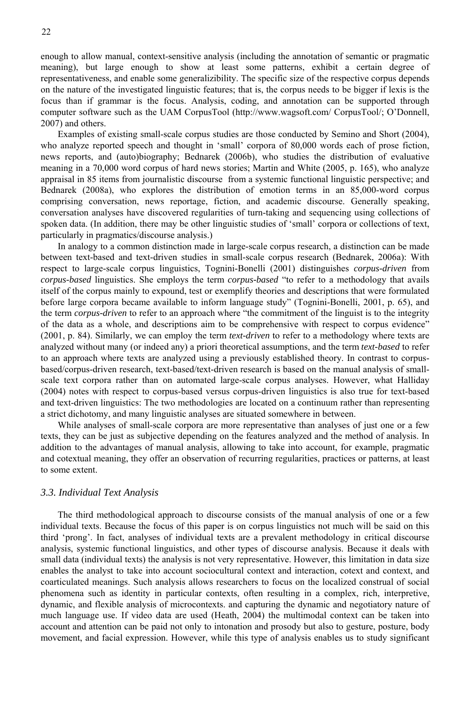enough to allow manual, context-sensitive analysis (including the annotation of semantic or pragmatic meaning), but large enough to show at least some patterns, exhibit a certain degree of representativeness, and enable some generalizibility. The specific size of the respective corpus depends on the nature of the investigated linguistic features; that is, the corpus needs to be bigger if lexis is the focus than if grammar is the focus. Analysis, coding, and annotation can be supported through computer software such as the UAM CorpusTool (http://www.wagsoft.com/ CorpusTool/; O'Donnell, 2007) and others.

Examples of existing small-scale corpus studies are those conducted by Semino and Short (2004), who analyze reported speech and thought in 'small' corpora of 80,000 words each of prose fiction, news reports, and (auto)biography; Bednarek (2006b), who studies the distribution of evaluative meaning in a 70,000 word corpus of hard news stories; Martin and White (2005, p. 165), who analyze appraisal in 85 items from journalistic discourse from a systemic functional linguistic perspective; and Bednarek (2008a), who explores the distribution of emotion terms in an 85,000-word corpus comprising conversation, news reportage, fiction, and academic discourse. Generally speaking, conversation analyses have discovered regularities of turn-taking and sequencing using collections of spoken data. (In addition, there may be other linguistic studies of 'small' corpora or collections of text, particularly in pragmatics/discourse analysis.)

In analogy to a common distinction made in large-scale corpus research, a distinction can be made between text-based and text-driven studies in small-scale corpus research (Bednarek, 2006a): With respect to large-scale corpus linguistics, Tognini-Bonelli (2001) distinguishes *corpus-driven* from *corpus-based* linguistics. She employs the term *corpus-based* "to refer to a methodology that avails itself of the corpus mainly to expound, test or exemplify theories and descriptions that were formulated before large corpora became available to inform language study" (Tognini-Bonelli, 2001, p. 65), and the term *corpus-driven* to refer to an approach where "the commitment of the linguist is to the integrity of the data as a whole, and descriptions aim to be comprehensive with respect to corpus evidence" (2001, p. 84). Similarly, we can employ the term *text-driven* to refer to a methodology where texts are analyzed without many (or indeed any) a priori theoretical assumptions, and the term *text-based* to refer to an approach where texts are analyzed using a previously established theory. In contrast to corpusbased/corpus-driven research, text-based/text-driven research is based on the manual analysis of smallscale text corpora rather than on automated large-scale corpus analyses. However, what Halliday (2004) notes with respect to corpus-based versus corpus-driven linguistics is also true for text-based and text-driven linguistics: The two methodologies are located on a continuum rather than representing a strict dichotomy, and many linguistic analyses are situated somewhere in between.

While analyses of small-scale corpora are more representative than analyses of just one or a few texts, they can be just as subjective depending on the features analyzed and the method of analysis. In addition to the advantages of manual analysis, allowing to take into account, for example, pragmatic and cotextual meaning, they offer an observation of recurring regularities, practices or patterns, at least to some extent.

#### *3.3. Individual Text Analysis*

The third methodological approach to discourse consists of the manual analysis of one or a few individual texts. Because the focus of this paper is on corpus linguistics not much will be said on this third 'prong'. In fact, analyses of individual texts are a prevalent methodology in critical discourse analysis, systemic functional linguistics, and other types of discourse analysis. Because it deals with small data (individual texts) the analysis is not very representative. However, this limitation in data size enables the analyst to take into account sociocultural context and interaction, cotext and context, and coarticulated meanings. Such analysis allows researchers to focus on the localized construal of social phenomena such as identity in particular contexts, often resulting in a complex, rich, interpretive, dynamic, and flexible analysis of microcontexts. and capturing the dynamic and negotiatory nature of much language use. If video data are used (Heath, 2004) the multimodal context can be taken into account and attention can be paid not only to intonation and prosody but also to gesture, posture, body movement, and facial expression. However, while this type of analysis enables us to study significant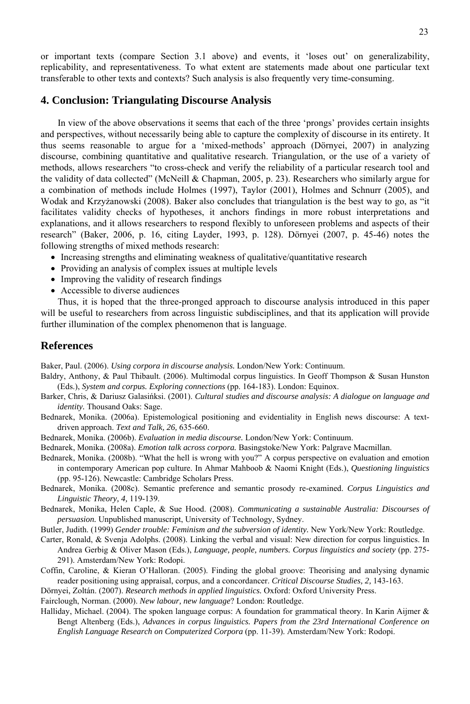or important texts (compare Section 3.1 above) and events, it 'loses out' on generalizability, replicability, and representativeness. To what extent are statements made about one particular text transferable to other texts and contexts? Such analysis is also frequently very time-consuming.

#### **4. Conclusion: Triangulating Discourse Analysis**

In view of the above observations it seems that each of the three 'prongs' provides certain insights and perspectives, without necessarily being able to capture the complexity of discourse in its entirety. It thus seems reasonable to argue for a 'mixed-methods' approach (Dörnyei, 2007) in analyzing discourse, combining quantitative and qualitative research. Triangulation, or the use of a variety of methods, allows researchers "to cross-check and verify the reliability of a particular research tool and the validity of data collected" (McNeill & Chapman, 2005, p. 23). Researchers who similarly argue for a combination of methods include Holmes (1997), Taylor (2001), Holmes and Schnurr (2005), and Wodak and Krzyżanowski (2008). Baker also concludes that triangulation is the best way to go, as "it facilitates validity checks of hypotheses, it anchors findings in more robust interpretations and explanations, and it allows researchers to respond flexibly to unforeseen problems and aspects of their research" (Baker, 2006, p. 16, citing Layder, 1993, p. 128). Dörnyei (2007, p. 45-46) notes the following strengths of mixed methods research:

- Increasing strengths and eliminating weakness of qualitative/quantitative research
- Providing an analysis of complex issues at multiple levels
- Improving the validity of research findings
- Accessible to diverse audiences

Thus, it is hoped that the three-pronged approach to discourse analysis introduced in this paper will be useful to researchers from across linguistic subdisciplines, and that its application will provide further illumination of the complex phenomenon that is language.

### **References**

Baker, Paul. (2006). *Using corpora in discourse analysis.* London/New York: Continuum.

- Baldry, Anthony, & Paul Thibault. (2006). Multimodal corpus linguistics. In Geoff Thompson & Susan Hunston (Eds.), *System and corpus. Exploring connections* (pp. 164-183). London: Equinox.
- Barker, Chris, & Dariusz Galasińksi. (2001). *Cultural studies and discourse analysis: A dialogue on language and identity.* Thousand Oaks: Sage.
- Bednarek, Monika. (2006a). Epistemological positioning and evidentiality in English news discourse: A textdriven approach. *Text and Talk, 26,* 635-660.
- Bednarek, Monika. (2006b). *Evaluation in media discourse.* London/New York: Continuum.
- Bednarek, Monika. (2008a). *Emotion talk across corpora.* Basingstoke/New York: Palgrave Macmillan.
- Bednarek, Monika. (2008b). "What the hell is wrong with you?" A corpus perspective on evaluation and emotion in contemporary American pop culture. In Ahmar Mahboob & Naomi Knight (Eds.), *Questioning linguistics* (pp. 95-126). Newcastle: Cambridge Scholars Press.
- Bednarek, Monika. (2008c). Semantic preference and semantic prosody re-examined. *Corpus Linguistics and Linguistic Theory, 4,* 119-139.
- Bednarek, Monika, Helen Caple, & Sue Hood. (2008). *Communicating a sustainable Australia: Discourses of persuasion.* Unpublished manuscript, University of Technology, Sydney.
- Butler, Judith. (1999) *Gender trouble: Feminism and the subversion of identity.* New York/New York: Routledge.
- Carter, Ronald, & Svenja Adolphs. (2008). Linking the verbal and visual: New direction for corpus linguistics. In Andrea Gerbig & Oliver Mason (Eds.), *Language, people, numbers. Corpus linguistics and society* (pp. 275- 291). Amsterdam/New York: Rodopi.
- Coffin, Caroline, & Kieran O'Halloran. (2005). Finding the global groove: Theorising and analysing dynamic reader positioning using appraisal, corpus, and a concordancer. *Critical Discourse Studies, 2,* 143-163.
- Dörnyei, Zoltán. (2007). *Research methods in applied linguistics.* Oxford: Oxford University Press.

Fairclough, Norman. (2000). *New labour, new language*? London: Routledge.

Halliday, Michael. (2004). The spoken language corpus: A foundation for grammatical theory. In Karin Aijmer & Bengt Altenberg (Eds.), *Advances in corpus linguistics. Papers from the 23rd International Conference on English Language Research on Computerized Corpora* (pp. 11-39). Amsterdam/New York: Rodopi.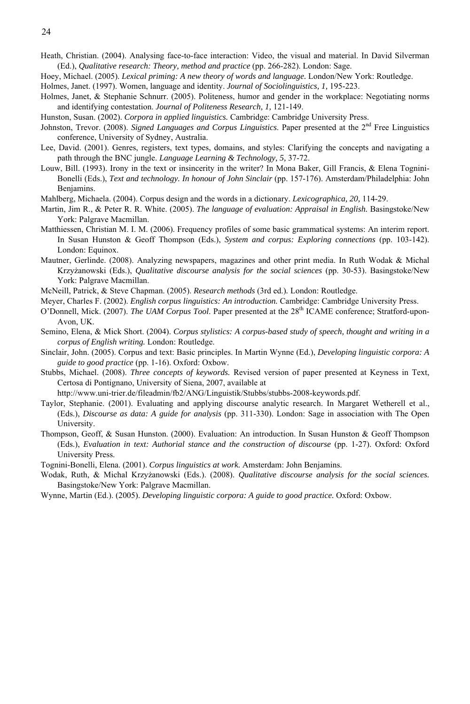Heath, Christian. (2004). Analysing face-to-face interaction: Video, the visual and material. In David Silverman (Ed.), *Qualitative research: Theory, method and practice* (pp. 266-282). London: Sage.

Hoey, Michael. (2005). *Lexical priming: A new theory of words and language.* London/New York: Routledge.

Holmes, Janet. (1997). Women, language and identity. *Journal of Sociolinguistics, 1,* 195-223.

- Holmes, Janet, & Stephanie Schnurr. (2005). Politeness, humor and gender in the workplace: Negotiating norms and identifying contestation. *Journal of Politeness Research, 1,* 121-149.
- Hunston, Susan. (2002). *Corpora in applied linguistics.* Cambridge: Cambridge University Press.
- Johnston, Trevor. (2008). *Signed Languages and Corpus Linguistics*. Paper presented at the 2nd Free Linguistics conference, University of Sydney, Australia.
- Lee, David. (2001). Genres, registers, text types, domains, and styles: Clarifying the concepts and navigating a path through the BNC jungle. *Language Learning & Technology, 5,* 37-72.
- Louw, Bill. (1993). Irony in the text or insincerity in the writer? In Mona Baker, Gill Francis, & Elena Tognini-Bonelli (Eds.), *Text and technology. In honour of John Sinclair* (pp. 157-176). Amsterdam/Philadelphia: John Benjamins.

Mahlberg, Michaela. (2004). Corpus design and the words in a dictionary. *Lexicographica, 20,* 114-29.

- Martin, Jim R., & Peter R. R. White. (2005). *The language of evaluation: Appraisal in English.* Basingstoke/New York: Palgrave Macmillan.
- Matthiessen, Christian M. I. M. (2006). Frequency profiles of some basic grammatical systems: An interim report. In Susan Hunston & Geoff Thompson (Eds.), *System and corpus: Exploring connections* (pp. 103-142). London: Equinox.
- Mautner, Gerlinde. (2008). Analyzing newspapers, magazines and other print media. In Ruth Wodak & Michal Krzyżanowski (Eds.), *Qualitative discourse analysis for the social sciences* (pp. 30-53). Basingstoke/New York: Palgrave Macmillan.

McNeill, Patrick, & Steve Chapman. (2005). *Research methods* (3rd ed.)*.* London: Routledge.

- Meyer, Charles F. (2002). *English corpus linguistics: An introduction.* Cambridge: Cambridge University Press.
- O'Donnell, Mick. (2007). *The UAM Corpus Tool*. Paper presented at the 28<sup>th</sup> ICAME conference; Stratford-upon-Avon, UK.
- Semino, Elena, & Mick Short. (2004). *Corpus stylistics: A corpus-based study of speech, thought and writing in a corpus of English writing.* London: Routledge.
- Sinclair, John. (2005). Corpus and text: Basic principles. In Martin Wynne (Ed.), *Developing linguistic corpora: A guide to good practice* (pp. 1-16). Oxford: Oxbow.
- Stubbs, Michael. (2008). *Three concepts of keywords.* Revised version of paper presented at Keyness in Text, Certosa di Pontignano, University of Siena, 2007, available at

http://www.uni-trier.de/fileadmin/fb2/ANG/Linguistik/Stubbs/stubbs-2008-keywords.pdf.

- Taylor, Stephanie. (2001). Evaluating and applying discourse analytic research. In Margaret Wetherell et al., (Eds.), *Discourse as data: A guide for analysis* (pp. 311-330). London: Sage in association with The Open University.
- Thompson, Geoff, & Susan Hunston. (2000). Evaluation: An introduction. In Susan Hunston & Geoff Thompson (Eds.), *Evaluation in text: Authorial stance and the construction of discourse* (pp. 1-27). Oxford: Oxford University Press.
- Tognini-Bonelli, Elena. (2001). *Corpus linguistics at work.* Amsterdam: John Benjamins.
- Wodak, Ruth, & Michal Krzyżanowski (Eds.). (2008). *Qualitative discourse analysis for the social sciences.* Basingstoke/New York: Palgrave Macmillan.
- Wynne, Martin (Ed.). (2005). *Developing linguistic corpora: A guide to good practice.* Oxford: Oxbow.